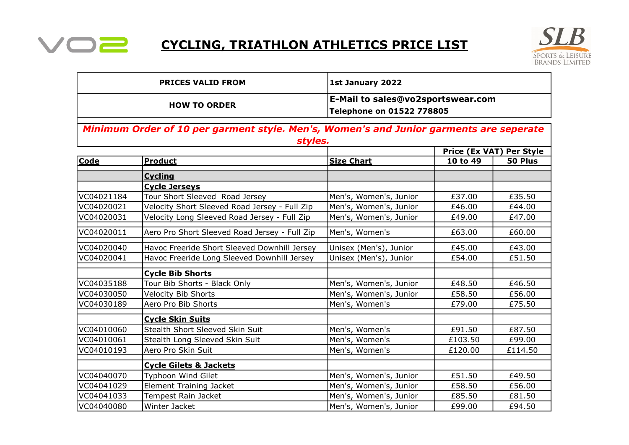

## CYCLING, TRIATHLON ATHLETICS PRICE LIST



| <b>PRICES VALID FROM</b>                                                                          |                                               | 1st January 2022                                               |                          |         |  |  |  |
|---------------------------------------------------------------------------------------------------|-----------------------------------------------|----------------------------------------------------------------|--------------------------|---------|--|--|--|
|                                                                                                   | <b>HOW TO ORDER</b>                           | E-Mail to sales@vo2sportswear.com<br>Telephone on 01522 778805 |                          |         |  |  |  |
| Minimum Order of 10 per garment style. Men's, Women's and Junior garments are seperate<br>styles. |                                               |                                                                |                          |         |  |  |  |
|                                                                                                   |                                               |                                                                | Price (Ex VAT) Per Style |         |  |  |  |
| Code                                                                                              | <b>Product</b>                                | <b>Size Chart</b>                                              | 10 to 49                 | 50 Plus |  |  |  |
|                                                                                                   | <b>Cycling</b>                                |                                                                |                          |         |  |  |  |
|                                                                                                   | <b>Cycle Jerseys</b>                          |                                                                |                          |         |  |  |  |
| VC04021184                                                                                        | Tour Short Sleeved Road Jersey                | Men's, Women's, Junior                                         | £37.00                   | £35.50  |  |  |  |
| VC04020021                                                                                        | Velocity Short Sleeved Road Jersey - Full Zip | Men's, Women's, Junior                                         | £46.00                   | £44.00  |  |  |  |
| VC04020031                                                                                        | Velocity Long Sleeved Road Jersey - Full Zip  | Men's, Women's, Junior                                         | £49.00                   | £47.00  |  |  |  |
| VC04020011                                                                                        | Aero Pro Short Sleeved Road Jersey - Full Zip | Men's, Women's                                                 | £63.00                   | £60.00  |  |  |  |
| VC04020040                                                                                        | Havoc Freeride Short Sleeved Downhill Jersey  | Unisex (Men's), Junior                                         | £45.00                   | £43.00  |  |  |  |
| VC04020041                                                                                        | Havoc Freeride Long Sleeved Downhill Jersey   | Unisex (Men's), Junior                                         | £54.00                   | £51.50  |  |  |  |
|                                                                                                   | <b>Cycle Bib Shorts</b>                       |                                                                |                          |         |  |  |  |
| VC04035188                                                                                        | Tour Bib Shorts - Black Only                  | Men's, Women's, Junior                                         | £48.50                   | £46.50  |  |  |  |
| VC04030050                                                                                        | <b>Velocity Bib Shorts</b>                    | Men's, Women's, Junior                                         | £58.50                   | £56.00  |  |  |  |
| VC04030189                                                                                        | Aero Pro Bib Shorts                           | Men's, Women's                                                 | £79.00                   | £75.50  |  |  |  |
|                                                                                                   | <b>Cycle Skin Suits</b>                       |                                                                |                          |         |  |  |  |
| VC04010060                                                                                        | Stealth Short Sleeved Skin Suit               | Men's, Women's                                                 | £91.50                   | £87.50  |  |  |  |
| VC04010061                                                                                        | Stealth Long Sleeved Skin Suit                | Men's, Women's                                                 | £103.50                  | £99.00  |  |  |  |
| VC04010193                                                                                        | Aero Pro Skin Suit                            | Men's, Women's                                                 | £120.00                  | £114.50 |  |  |  |
|                                                                                                   | <b>Cycle Gilets &amp; Jackets</b>             |                                                                |                          |         |  |  |  |
| VC04040070                                                                                        | Typhoon Wind Gilet                            | Men's, Women's, Junior                                         | £51.50                   | £49.50  |  |  |  |
| VC04041029                                                                                        | <b>Element Training Jacket</b>                | Men's, Women's, Junior                                         | £58.50                   | £56.00  |  |  |  |
| VC04041033                                                                                        | Tempest Rain Jacket                           | Men's, Women's, Junior                                         | £85.50                   | £81.50  |  |  |  |
| VC04040080                                                                                        | Winter Jacket                                 | Men's, Women's, Junior                                         | £99.00                   | £94.50  |  |  |  |